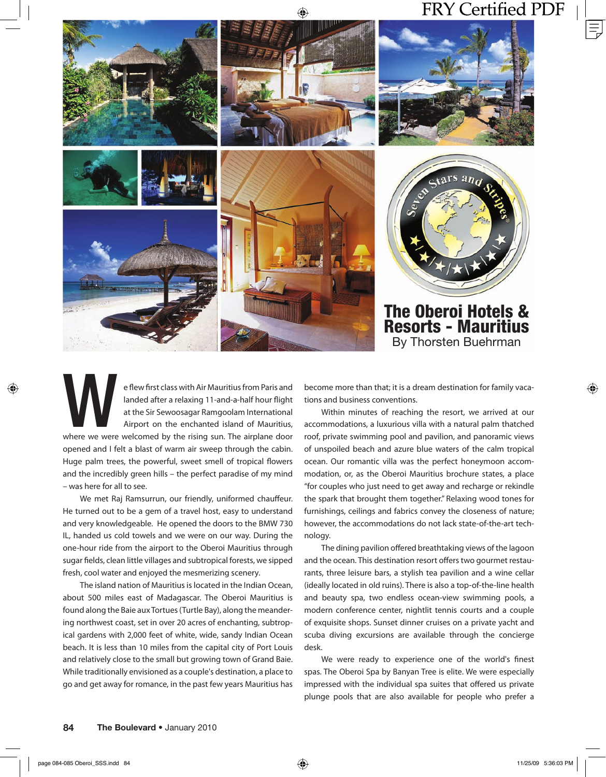

e flew first class with Air Mauritius from Paris and landed after a relaxing 11-and-a-half hour flight at the Sir Sewoosagar Ramgoolam International Airport on the enchanted island of Mauritius, where we welcomed by the ri landed after a relaxing 11-and-a-half hour flight at the Sir Sewoosagar Ramgoolam International Airport on the enchanted island of Mauritius, opened and I felt a blast of warm air sweep through the cabin. Huge palm trees, the powerful, sweet smell of tropical flowers and the incredibly green hills – the perfect paradise of my mind – was here for all to see.

We met Raj Ramsurrun, our friendly, uniformed chauffeur. He turned out to be a gem of a travel host, easy to understand and very knowledgeable. He opened the doors to the BMW 730 IL, handed us cold towels and we were on our way. During the one-hour ride from the airport to the Oberoi Mauritius through sugar fields, clean little villages and subtropical forests, we sipped fresh, cool water and enjoyed the mesmerizing scenery.

The island nation of Mauritius is located in the Indian Ocean, about 500 miles east of Madagascar. The Oberoi Mauritius is found along the Baie aux Tortues (Turtle Bay), along the meandering northwest coast, set in over 20 acres of enchanting, subtropical gardens with 2,000 feet of white, wide, sandy Indian Ocean beach. It is less than 10 miles from the capital city of Port Louis and relatively close to the small but growing town of Grand Baie. While traditionally envisioned as a couple's destination, a place to go and get away for romance, in the past few years Mauritius has become more than that; it is a dream destination for family vacations and business conventions.

Within minutes of reaching the resort, we arrived at our accommodations, a luxurious villa with a natural palm thatched roof, private swimming pool and pavilion, and panoramic views of unspoiled beach and azure blue waters of the calm tropical ocean. Our romantic villa was the perfect honeymoon accommodation, or, as the Oberoi Mauritius brochure states, a place "for couples who just need to get away and recharge or rekindle the spark that brought them together." Relaxing wood tones for furnishings, ceilings and fabrics convey the closeness of nature; however, the accommodations do not lack state-of-the-art technology.

The dining pavilion offered breathtaking views of the lagoon and the ocean. This destination resort offers two gourmet restaurants, three leisure bars, a stylish tea pavilion and a wine cellar (ideally located in old ruins). There is also a top-of-the-line health and beauty spa, two endless ocean-view swimming pools, a modern conference center, nightlit tennis courts and a couple of exquisite shops. Sunset dinner cruises on a private yacht and scuba diving excursions are available through the concierge desk.

We were ready to experience one of the world's finest spas. The Oberoi Spa by Banyan Tree is elite. We were especially impressed with the individual spa suites that offered us private plunge pools that are also available for people who prefer a